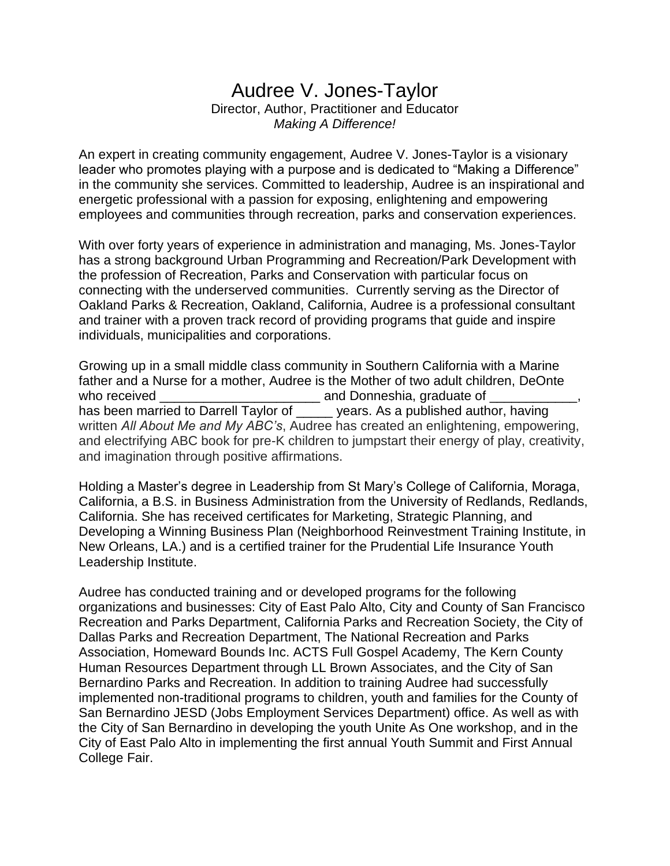## Audree V. Jones-Taylor

Director, Author, Practitioner and Educator *Making A Difference!*

An expert in creating community engagement, Audree V. Jones-Taylor is a visionary leader who promotes playing with a purpose and is dedicated to "Making a Difference" in the community she services. Committed to leadership, Audree is an inspirational and energetic professional with a passion for exposing, enlightening and empowering employees and communities through recreation, parks and conservation experiences.

With over forty years of experience in administration and managing, Ms. Jones-Taylor has a strong background Urban Programming and Recreation/Park Development with the profession of Recreation, Parks and Conservation with particular focus on connecting with the underserved communities. Currently serving as the Director of Oakland Parks & Recreation, Oakland, California, Audree is a professional consultant and trainer with a proven track record of providing programs that guide and inspire individuals, municipalities and corporations.

Growing up in a small middle class community in Southern California with a Marine father and a Nurse for a mother, Audree is the Mother of two adult children, DeOnte who received \_\_\_\_\_\_\_\_\_\_\_\_\_\_\_\_\_\_\_\_\_\_ and Donneshia, graduate of \_\_\_\_\_\_\_\_\_\_\_\_, has been married to Darrell Taylor of \_\_\_\_\_ years. As a published author, having written *All About Me and My ABC's*, Audree has created an enlightening, empowering, and electrifying ABC book for pre-K children to jumpstart their energy of play, creativity, and imagination through positive affirmations.

Holding a Master's degree in Leadership from St Mary's College of California, Moraga, California, a B.S. in Business Administration from the University of Redlands, Redlands, California. She has received certificates for Marketing, Strategic Planning, and Developing a Winning Business Plan (Neighborhood Reinvestment Training Institute, in New Orleans, LA.) and is a certified trainer for the Prudential Life Insurance Youth Leadership Institute.

Audree has conducted training and or developed programs for the following organizations and businesses: City of East Palo Alto, City and County of San Francisco Recreation and Parks Department, California Parks and Recreation Society, the City of Dallas Parks and Recreation Department, The National Recreation and Parks Association, Homeward Bounds Inc. ACTS Full Gospel Academy, The Kern County Human Resources Department through LL Brown Associates, and the City of San Bernardino Parks and Recreation. In addition to training Audree had successfully implemented non-traditional programs to children, youth and families for the County of San Bernardino JESD (Jobs Employment Services Department) office. As well as with the City of San Bernardino in developing the youth Unite As One workshop, and in the City of East Palo Alto in implementing the first annual Youth Summit and First Annual College Fair.